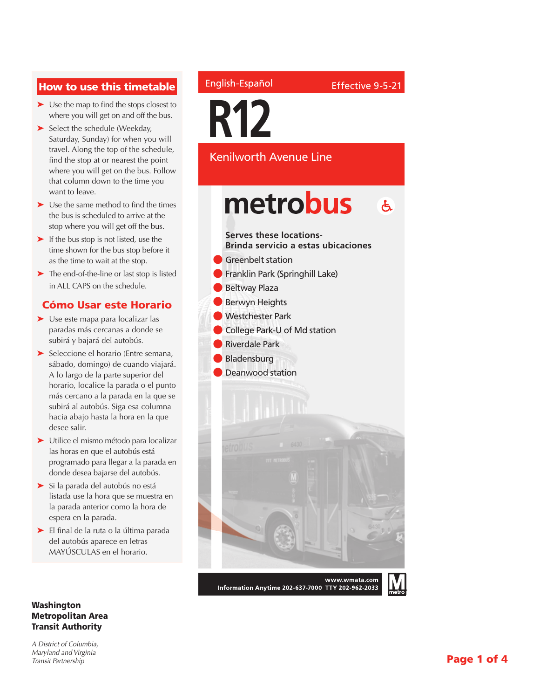#### How to use this timetable

- ➤ Use the map to find the stops closest to where you will get on and off the bus.
- ➤ Select the schedule (Weekday, Saturday, Sunday) for when you will travel. Along the top of the schedule, find the stop at or nearest the point where you will get on the bus. Follow that column down to the time you want to leave.
- ➤ Use the same method to find the times the bus is scheduled to arrive at the stop where you will get off the bus.
- ➤ If the bus stop is not listed, use the time shown for the bus stop before it as the time to wait at the stop.
- ➤ The end-of-the-line or last stop is listed in ALL CAPS on the schedule.

#### Cómo Usar este Horario

- ➤ Use este mapa para localizar las paradas más cercanas a donde se subirá y bajará del autobús.
- ➤ Seleccione el horario (Entre semana, sábado, domingo) de cuando viajará. A lo largo de la parte superior del horario, localice la parada o el punto más cercano a la parada en la que se subirá al autobús. Siga esa columna hacia abajo hasta la hora en la que desee salir.
- ➤ Utilice el mismo método para localizar las horas en que el autobús está programado para llegar a la parada en donde desea bajarse del autobús.
- ➤ Si la parada del autobús no está listada use la hora que se muestra en la parada anterior como la hora de espera en la parada.
- ➤ El final de la ruta o la última parada del autobús aparece en letras MAYÚSCULAS en el horario.

#### Washington Metropolitan Area Transit Authority

*A District of Columbia, Maryland and Virginia Transit Partnership*

#### English-Español

Effective 9-5-21

**R12**

Kenilworth Avenue Line

# metrobus  $\mathbf{A}$

## **Serves these locations-**

**Brinda servicio a estas ubicaciones**

- **Greenbelt station**
- **Franklin Park (Springhill Lake)**
- Beltway Plaza
- **Berwyn Heights**
- Westchester Park
- **College Park-U of Md station**
- **Riverdale Park**
- **Bladensburg**
- Deanwood station



Information Anytime 202-637-7000 TTY 202-962-2033

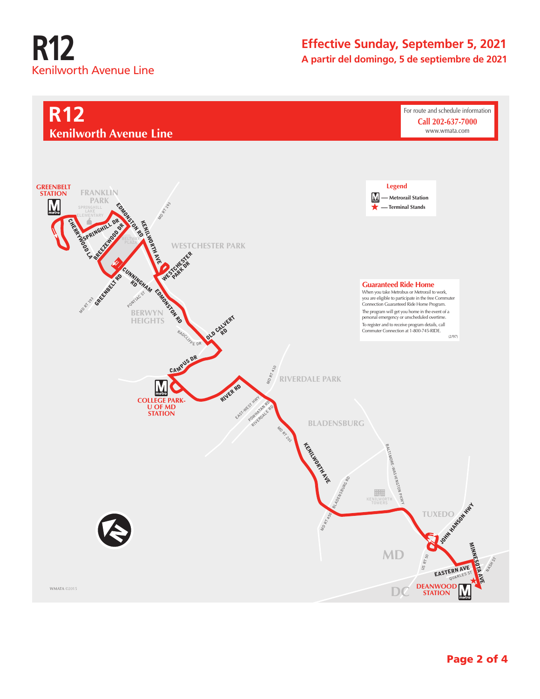# **R12** Kenilworth Avenue Line

### **Effective Sunday, September 5, 2021 A partir del domingo, 5 de septiembre de 2021**

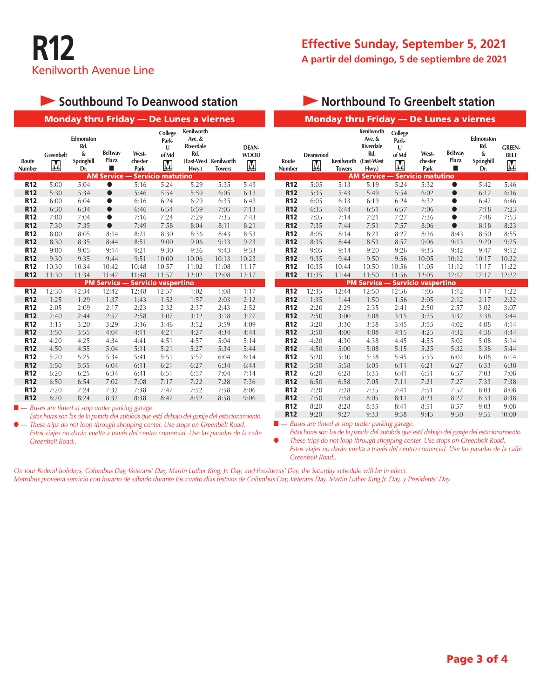

#### **Effective Sunday, September 5, 2021 A partir del domingo, 5 de septiembre de 2021**

## **Southbound To Deanwood station**

| <b>Monday thru Friday - De Lunes a viernes</b>                 |                       |                                            |                              |                          |                                     |                                                                 |                                        |                           |  |
|----------------------------------------------------------------|-----------------------|--------------------------------------------|------------------------------|--------------------------|-------------------------------------|-----------------------------------------------------------------|----------------------------------------|---------------------------|--|
| Route<br><b>Number</b>                                         | <b>Greenbelt</b><br>M | Edmonston<br>Rd.<br>&<br>Springhill<br>Dr. | <b>Beltway</b><br>Plaza<br>┓ | West-<br>chester<br>Park | College<br>Park-<br>U<br>of Md<br>M | <b>Kenilworth</b><br>Ave. &<br><b>Riverdale</b><br>Rd.<br>Hwy.) | (East-West Kenilworth<br><b>Towers</b> | DEAN-<br><b>WOOD</b><br>M |  |
|                                                                |                       |                                            | <b>AM Service --</b>         |                          | <b>Servicio matutino</b>            |                                                                 |                                        |                           |  |
| <b>R12</b>                                                     | 5:00                  | 5:04                                       | ●                            | 5:16                     | 5:24                                | 5:29                                                            | 5:35                                   | 5:43                      |  |
| <b>R12</b>                                                     | 5:30                  | 5:34                                       | $\bullet$                    | 5:46                     | 5:54                                | 5:59                                                            | 6:05                                   | 6:13                      |  |
| <b>R12</b>                                                     | 6:00                  | 6:04                                       | $\bullet$                    | 6:16                     | 6:24                                | 6:29                                                            | 6:35                                   | 6:43                      |  |
| <b>R12</b>                                                     | 6:30                  | 6:34                                       | $\bullet$                    | 6:46                     | 6:54                                | 6:59                                                            | 7:05                                   | 7:13                      |  |
| <b>R12</b>                                                     | 7:00                  | 7:04                                       | ●                            | 7:16                     | 7:24                                | 7:29                                                            | 7:35                                   | 7:43                      |  |
| <b>R12</b>                                                     | 7:30                  | 7:35                                       | $\bullet$                    | 7:49                     | 7:58                                | 8:04                                                            | 8:11                                   | 8:21                      |  |
| <b>R12</b>                                                     | 8:00                  | 8:05                                       | 8:14                         | 8:21                     | 8:30                                | 8:36                                                            | 8:43                                   | 8:53                      |  |
| <b>R12</b>                                                     | 8:30                  | 8:35                                       | 8:44                         | 8:51                     | 9:00                                | 9:06                                                            | 9:13                                   | 9:23                      |  |
| <b>R12</b>                                                     | 9:00                  | 9:05                                       | 9:14                         | 9:21                     | 9:30                                | 9:36                                                            | 9:43                                   | 9:53                      |  |
| <b>R12</b>                                                     | 9:30                  | 9:35                                       | 9:44                         | 9:51                     | 10:00                               | 10:06                                                           | 10:13                                  | 10:23                     |  |
| <b>R12</b>                                                     | 10:30                 | 10:34                                      | 10:42                        | 10:48                    | 10:57                               | 11:02                                                           | 11:08                                  | 11:17                     |  |
| <b>R12</b>                                                     | 11:30                 | 11:34                                      | 11:42                        | 11:48                    | 11:57                               | 12:02                                                           | 12:08                                  | 12:17                     |  |
| <b>PM Service --</b><br><b>Servicio vespertino</b>             |                       |                                            |                              |                          |                                     |                                                                 |                                        |                           |  |
| <b>R12</b>                                                     | 12:30                 | 12:34                                      | 12:42                        | 12:48                    | 12:57                               | 1:02                                                            | 1:08                                   | 1:17                      |  |
| <b>R12</b>                                                     | 1:25                  | 1:29                                       | 1:37                         | 1:43                     | 1:52                                | 1:57                                                            | 2:03                                   | 2:12                      |  |
| <b>R12</b>                                                     | 2:05                  | 2:09                                       | 2:17                         | 2:23                     | 2:32                                | 2:37                                                            | 2:43                                   | 2:52                      |  |
| <b>R12</b>                                                     | 2:40                  | 2:44                                       | 2:52                         | 2:58                     | 3:07                                | 3:12                                                            | 3:18                                   | 3:27                      |  |
| <b>R12</b>                                                     | 3:15                  | 3:20                                       | 3:29                         | 3:36                     | 3:46                                | 3:52                                                            | 3:59                                   | 4:09                      |  |
| <b>R12</b>                                                     | 3:50                  | 3:55                                       | 4:04                         | 4:11                     | 4:21                                | 4:27                                                            | 4:34                                   | 4:44                      |  |
| <b>R12</b>                                                     | 4:20                  | 4:25                                       | 4:34                         | 4:41                     | 4:51                                | 4:57                                                            | 5:04                                   | 5:14                      |  |
| <b>R12</b>                                                     | 4:50                  | 4:55                                       | 5:04                         | 5:11                     | 5:21                                | 5:27                                                            | 5:34                                   | 5:44                      |  |
| <b>R12</b>                                                     | 5:20                  | 5:25                                       | 5:34                         | 5:41                     | 5:51                                | 5:57                                                            | 6:04                                   | 6:14                      |  |
| <b>R12</b>                                                     | 5:50                  | 5:55                                       | 6:04                         | 6:11                     | 6:21                                | 6:27                                                            | 6:34                                   | 6:44                      |  |
| <b>R12</b>                                                     | 6:20                  | 6:25                                       | 6:34                         | 6:41                     | 6:51                                | 6:57                                                            | 7:04                                   | 7:14                      |  |
| <b>R12</b>                                                     | 6:50                  | 6:54                                       | 7:02                         | 7:08                     | 7:17                                | 7:22                                                            | 7:28                                   | 7:36                      |  |
| <b>R12</b>                                                     | 7:20                  | 7:24                                       | 7:32                         | 7:38                     | 7:47                                | 7:52                                                            | 7:58                                   | 8:06                      |  |
| <b>R12</b>                                                     | 8:20                  | 8:24                                       | 8:32                         | 8:38                     | 8:47                                | 8:52                                                            | 8:58                                   | 9:06                      |  |
| $\blacksquare$ - Buses are timed at stop under parking garage. |                       |                                            |                              |                          |                                     |                                                                 |                                        |                           |  |

*Estas horas son las de la parada del autobús que está debajo del garaje del estacionamiento.* ● *— These trips do not loop through shopping center. Use stops on Greenbelt Road. Estos viajes no darán vuelta a través del centro comercial. Use las paradas de la calle* 

*Greenbelt Road..*

#### **• Northbound To Greenbelt station** Monday thru Friday — De Lunes a viernes **Kenilworth College Ave. & Edmonston Park-Riverdale Rd. U GreeN-Rd. of Md West-Beltway & Deanwood belt Plaza Springhill Route chester Kenilworth (East-West** M М M **Number Towers Hwy.) Park** n **Dr.** AM Service — Servicio matutino **R12** 5:05 5:13 5:19 5:24 5:32 ● 5:42 5:46 **R12** 5:35 5:43 5:49 5:54 6:02 ● 6:12 6:16 **R12** 6:05 6:13 6:19 6:24 6:32 ● 6:42 6:46 **R12** 6:35 6:44 6:51 6:57 7:06 ● 7:18 7:23 **R12** 7:05 7:14 7:21 7:27 7:36 ● 7:48 7:53 **R12** 7:35 7:44 7:51 7:57 8:06 ● 8:18 8:23 **R12** 8:05 8:14 8:21 8:27 8:36 8:43 8:50 8:55 **R12** 8:35 8:44 8:51 8:57 9:06 9:13 9:20 9:25 **R12** 9:05 9:14 9:20 9:26 9:35 9:42 9:47 9:52 **R12** 9:35 9:44 9:50 9:56 10:05 10:12 10:17 10:22 **R12** 10:35 10:44 10:50 10:56 11:05 11:12 11:17 11:22 **R12** 11:35 11:44 11:50 11:56 12:05 12:12 12:17 12:22 PM Service — Servicio vespertino **R12** 12:35 12:44 12:50 12:56 1:05 1:12 1:17 1:22 **R12** 1:35 1:44 1:50 1:56 2:05 2:12 2:17 2:22

Buses are timed at stop under parking garage. *Estas horas son las de la parada del autobús que está debajo del garaje del estacionamiento.* **R12** 3:50 4:00 4:08 4:15 4:25 4:32 4:38 4:44 **R12** 4:20 4:30 4:38 4:45 4:55 5:02 5:08 5:14 **R12** 4:50 5:00 5:08 5:15 5:25 5:32 5:38 5:44 **R12** 5:20 5:30 5:38 5:45 5:55 6:02 6:08 6:14 **R12** 5:50 5:58 6:05 6:11 6:21 6:27 6:33 6:38 **R12** 6:20 6:28 6:35 6:41 6:51 6:57 7:03 7:08 **R12** 6:50 6:58 7:05 7:11 7:21 7:27 7:33 7:38 **R12** 7:20 7:28 7:35 7:41 7:51 7:57 8:03 8:08 **R12** 7:50 7:58 8:05 8:11 8:21 8:27 8:33 8:38 **R12** 8:20 8:28 8:35 8:41 8:51 8:57 9:03 9:08 **R12** 9:20 9:27 9:33 9:38 9:45 9:50 9:55 10:00

**R12** 2:20 2:29 2:35 2:41 2:50 2:57 3:02 3:07 **R12** 2:50 3:00 3:08 3:15 3:25 3:32 3:38 3:44 **R12** 3:20 3:30 3:38 3:45 3:55 4:02 4:08 4:14

These trips do not loop through shopping center. Use stops on Greenbelt Road. *Estos viajes no darán vuelta a través del centro comercial. Use las paradas de la calle Greenbelt Road..*

*On four Federal holidays, Columbus Day, Veterans' Day, Martin Luther King, Jr. Day, and Presidents' Day, the Saturday schedule will be in effect. Metrobus proveerá servicio con horario de sábado durante los cuatro días festivos de Columbus Day, Veterans Day, Martin Luther King Jr. Day, y Presidents' Day.*